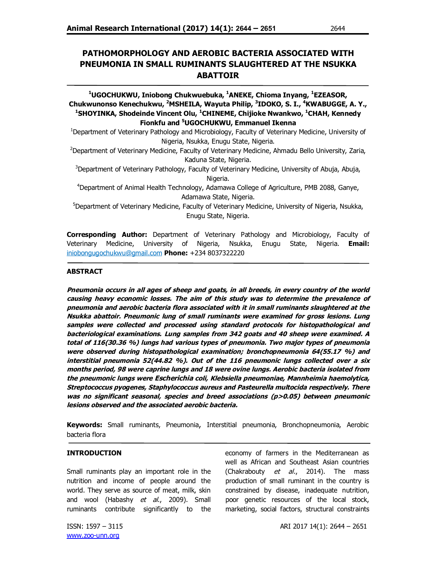# **PATHOMORPHOLOGY AND AEROBIC BACTERIA ASSOCIATED WITH PNEUMONIA IN SMALL RUMINANTS SLAUGHTERED AT THE NSUKKA ABATTOIR**

## **<sup>1</sup>UGOCHUKWU, Iniobong Chukwuebuka, <sup>1</sup>ANEKE, Chioma Inyang, <sup>1</sup>EZEASOR, Chukwunonso Kenechukwu, <sup>2</sup>MSHEILA, Wayuta Philip, <sup>3</sup> IDOKO, S. I., <sup>4</sup>KWABUGGE, A. Y., <sup>1</sup>SHOYINKA, Shodeinde Vincent Olu, <sup>1</sup>CHINEME, Chijioke Nwankwo, <sup>1</sup>CHAH, Kennedy Fionkfu and <sup>5</sup>UGOCHUKWU, Emmanuel Ikenna**

<sup>1</sup>Department of Veterinary Pathology and Microbiology, Faculty of Veterinary Medicine, University of Nigeria, Nsukka, Enugu State, Nigeria.

<sup>2</sup>Department of Veterinary Medicine, Faculty of Veterinary Medicine, Ahmadu Bello University, Zaria, Kaduna State, Nigeria.

<sup>3</sup>Department of Veterinary Pathology, Faculty of Veterinary Medicine, University of Abuja, Abuja, Nigeria.

<sup>4</sup>Department of Animal Health Technology, Adamawa College of Agriculture, PMB 2088, Ganye, Adamawa State, Nigeria.

<sup>5</sup>Department of Veterinary Medicine, Faculty of Veterinary Medicine, University of Nigeria, Nsukka, Enugu State, Nigeria.

**Corresponding Author:** Department of Veterinary Pathology and Microbiology, Faculty of Veterinary Medicine, University of Nigeria, Nsukka, Enugu State, Nigeria. **Email:** iniobongugochukwu@gmail.com **Phone:** +234 8037322220

### **ABSTRACT**

**Pneumonia occurs in all ages of sheep and goats, in all breeds, in every country of the world causing heavy economic losses. The aim of this study was to determine the prevalence of pneumonia and aerobic bacteria flora associated with it in small ruminants slaughtered at the Nsukka abattoir. Pneumonic lung of small ruminants were examined for gross lesions. Lung samples were collected and processed using standard protocols for histopathological and bacteriological examinations. Lung samples from 342 goats and 40 sheep were examined. A total of 116(30.36 %) lungs had various types of pneumonia. Two major types of pneumonia were observed during histopathological examination; bronchopneumonia 64(55.17 %) and interstitial pneumonia 52(44.82 %). Out of the 116 pneumonic lungs collected over a six months period, 98 were caprine lungs and 18 were ovine lungs. Aerobic bacteria isolated from the pneumonic lungs were Escherichia coli, Klebsiella pneumoniae, Mannheimia haemolytica, Streptococcus pyogenes, Staphylococcus aureus and Pasteurella multocida respectively. There was no significant seasonal, species and breed associations (p>0.05) between pneumonic lesions observed and the associated aerobic bacteria.**

**Keywords:** Small ruminants, Pneumonia, Interstitial pneumonia, Bronchopneumonia, Aerobic bacteria flora

#### **INTRODUCTION**

Small ruminants play an important role in the nutrition and income of people around the world. They serve as source of meat, milk, skin and wool (Habashy et al., 2009). Small ruminants contribute significantly to the economy of farmers in the Mediterranean as well as African and Southeast Asian countries (Chakrabouty  $et$  al., 2014). The mass production of small ruminant in the country is constrained by disease, inadequate nutrition, poor genetic resources of the local stock, marketing, social factors, structural constraints

www.zoo-unn.org

ISSN: 1597 – 3115 **ARI 2017 14(1): 2644 – 2651**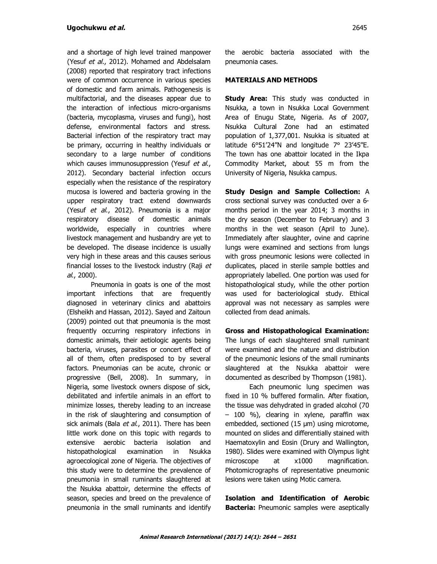and a shortage of high level trained manpower (Yesuf et al., 2012). Mohamed and Abdelsalam (2008) reported that respiratory tract infections were of common occurrence in various species of domestic and farm animals. Pathogenesis is multifactorial, and the diseases appear due to the interaction of infectious micro-organisms (bacteria, mycoplasma, viruses and fungi), host defense, environmental factors and stress. Bacterial infection of the respiratory tract may be primary, occurring in healthy individuals or secondary to a large number of conditions which causes immunosuppression (Yesuf et al., 2012). Secondary bacterial infection occurs especially when the resistance of the respiratory mucosa is lowered and bacteria growing in the upper respiratory tract extend downwards (Yesuf et al., 2012). Pneumonia is a major respiratory disease of domestic animals worldwide, especially in countries where livestock management and husbandry are yet to be developed. The disease incidence is usually very high in these areas and this causes serious financial losses to the livestock industry (Raji et al., 2000).

Pneumonia in goats is one of the most important infections that are frequently diagnosed in veterinary clinics and abattoirs (Elsheikh and Hassan, 2012). Sayed and Zaitoun (2009) pointed out that pneumonia is the most frequently occurring respiratory infections in domestic animals, their aetiologic agents being bacteria, viruses, parasites or concert effect of all of them, often predisposed to by several factors. Pneumonias can be acute, chronic or progressive (Bell, 2008). In summary, in Nigeria, some livestock owners dispose of sick, debilitated and infertile animals in an effort to minimize losses, thereby leading to an increase in the risk of slaughtering and consumption of sick animals (Bala et al., 2011). There has been little work done on this topic with regards to extensive aerobic bacteria isolation and histopathological examination in Nsukka agroecological zone of Nigeria. The objectives of this study were to determine the prevalence of pneumonia in small ruminants slaughtered at the Nsukka abattoir, determine the effects of season, species and breed on the prevalence of pneumonia in the small ruminants and identify

the aerobic bacteria associated with the pneumonia cases.

## **MATERIALS AND METHODS**

**Study Area:** This study was conducted in Nsukka, a town in Nsukka Local Government Area of Enugu State, Nigeria. As of 2007, Nsukka Cultural Zone had an estimated population of 1,377,001. Nsukka is situated at latitude 6°51'24"N and longitude 7° 23'45"E. The town has one abattoir located in the Ikpa Commodity Market, about 55 m from the University of Nigeria, Nsukka campus.

**Study Design and Sample Collection:** A cross sectional survey was conducted over a 6 months period in the year 2014; 3 months in the dry season (December to February) and 3 months in the wet season (April to June). Immediately after slaughter, ovine and caprine lungs were examined and sections from lungs with gross pneumonic lesions were collected in duplicates, placed in sterile sample bottles and appropriately labelled. One portion was used for histopathological study, while the other portion was used for bacteriological study. Ethical approval was not necessary as samples were collected from dead animals.

**Gross and Histopathological Examination:**  The lungs of each slaughtered small ruminant were examined and the nature and distribution of the pneumonic lesions of the small ruminants slaughtered at the Nsukka abattoir were documented as described by Thompson (1981).

Each pneumonic lung specimen was fixed in 10 % buffered formalin. After fixation, the tissue was dehydrated in graded alcohol (70 – 100 %), clearing in xylene, paraffin wax embedded, sectioned (15 µm) using microtome, mounted on slides and differentially stained with Haematoxylin and Eosin (Drury and Wallington, 1980). Slides were examined with Olympus light microscope at x1000 magnification. Photomicrographs of representative pneumonic lesions were taken using Motic camera.

**Isolation and Identification of Aerobic Bacteria:** Pneumonic samples were aseptically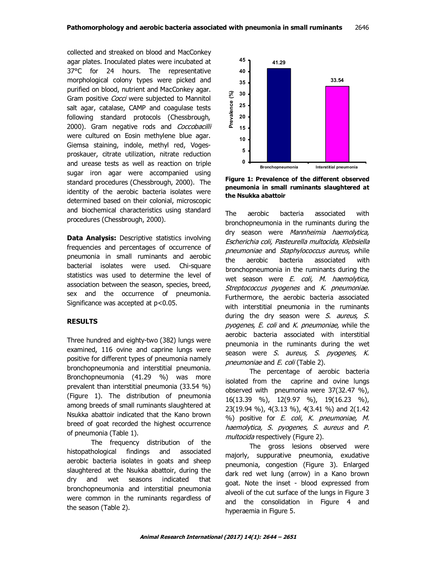collected and streaked on blood and MacConkey agar plates. Inoculated plates were incubated at 37°C for 24 hours. The representative morphological colony types were picked and purified on blood, nutrient and MacConkey agar. Gram positive Cocci were subjected to Mannitol salt agar, catalase, CAMP and coagulase tests following standard protocols (Chessbrough, 2000). Gram negative rods and Coccobacilli were cultured on Eosin methylene blue agar. Giemsa staining, indole, methyl red, Vogesproskauer, citrate utilization, nitrate reduction and urease tests as well as reaction on triple sugar iron agar were accompanied using standard procedures (Chessbrough, 2000). The identity of the aerobic bacteria isolates were determined based on their colonial, microscopic and biochemical characteristics using standard procedures (Chessbrough, 2000).

**Data Analysis:** Descriptive statistics involving frequencies and percentages of occurrence of pneumonia in small ruminants and aerobic bacterial isolates were used. Chi-square statistics was used to determine the level of association between the season, species, breed, sex and the occurrence of pneumonia. Significance was accepted at p<0.05.

### **RESULTS**

Three hundred and eighty-two (382) lungs were examined, 116 ovine and caprine lungs were positive for different types of pneumonia namely bronchopneumonia and interstitial pneumonia. Bronchopneumonia (41.29 %) was more prevalent than interstitial pneumonia (33.54 %) (Figure 1). The distribution of pneumonia among breeds of small ruminants slaughtered at Nsukka abattoir indicated that the Kano brown breed of goat recorded the highest occurrence of pneumonia (Table 1).

The frequency distribution of the histopathological findings and associated aerobic bacteria isolates in goats and sheep slaughtered at the Nsukka abattoir, during the dry and wet seasons indicated that bronchopneumonia and interstitial pneumonia were common in the ruminants regardless of the season (Table 2).



**Figure 1: Prevalence of the different observed pneumonia in small ruminants slaughtered at the Nsukka abattoir**

The aerobic bacteria associated with bronchopneumonia in the ruminants during the dry season were Mannheimia haemolytica, Escherichia coli, Pasteurella multocida, Klebsiella pneumoniae and Staphylococcus aureus, while the aerobic bacteria associated with bronchopneumonia in the ruminants during the wet season were E. coli, M. haemolytica, Streptococcus pyogenes and K. pneumoniae. Furthermore, the aerobic bacteria associated with interstitial pneumonia in the ruminants during the dry season were  $S$ . aureus,  $S$ . pyogenes, E. coli and K. pneumoniae, while the aerobic bacteria associated with interstitial pneumonia in the ruminants during the wet season were S. aureus, S. pyogenes, K. pneumoniae and E. coli (Table 2).

The percentage of aerobic bacteria isolated from the caprine and ovine lungs observed with pneumonia were 37(32.47 %), 16(13.39 %), 12(9.97 %), 19(16.23 %), 23(19.94 %), 4(3.13 %), 4(3.41 %) and 2(1.42 %) positive for E. coli, K. pneumoniae, M. haemolytica, S. pyogenes, S. aureus and P. multocida respectively (Figure 2).

The gross lesions observed were majorly, suppurative pneumonia, exudative pneumonia, congestion (Figure 3). Enlarged dark red wet lung (arrow) in a Kano brown goat. Note the inset - blood expressed from alveoli of the cut surface of the lungs in Figure 3 and the consolidation in Figure 4 and hyperaemia in Figure 5.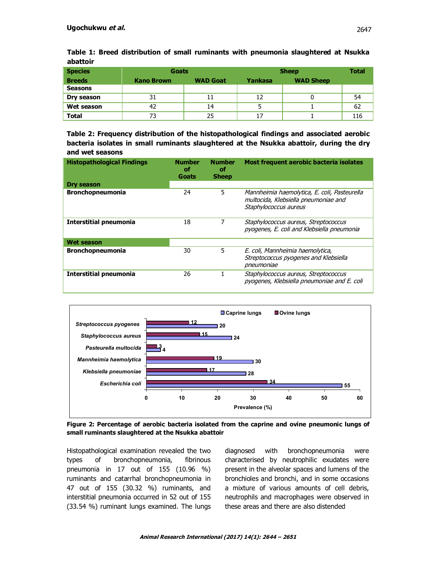| <b>Species</b> | Goats             |                 | <b>Sheep</b> |                  | <b>Total</b> |  |  |
|----------------|-------------------|-----------------|--------------|------------------|--------------|--|--|
| <b>Breeds</b>  | <b>Kano Brown</b> | <b>WAD Goat</b> | Yankasa      | <b>WAD Sheep</b> |              |  |  |
| <b>Seasons</b> |                   |                 |              |                  |              |  |  |
| Dry season     | 31                | 11              | 12           |                  | 54           |  |  |
| Wet season     | 42                | 14              |              |                  | 62           |  |  |
| <b>Total</b>   |                   | 25              | 17           |                  | 116          |  |  |

**Table 1: Breed distribution of small ruminants with pneumonia slaughtered at Nsukka abattoir**

**Table 2: Frequency distribution of the histopathological findings and associated aerobic bacteria isolates in small ruminants slaughtered at the Nsukka abattoir, during the dry and wet seasons**

| <b>Histopathological Findings</b> | <b>Number</b><br>оf<br>Goats | <b>Number</b><br>оf<br><b>Sheep</b> | Most frequent aerobic bacteria isolates                                                                       |
|-----------------------------------|------------------------------|-------------------------------------|---------------------------------------------------------------------------------------------------------------|
| Dry season                        |                              |                                     |                                                                                                               |
| <b>Bronchopneumonia</b>           | 24                           | 5                                   | Mannheimia haemolytica, E. coli, Pasteurella<br>multocida, Klebsiella pneumoniae and<br>Staphylococcus aureus |
| <b>Interstitial pneumonia</b>     | 18                           | 7                                   | Staphylococcus aureus, Streptococcus<br>pyogenes, E. coli and Klebsiella pneumonia                            |
| Wet season                        |                              |                                     |                                                                                                               |
| <b>Bronchopneumonia</b>           | 30                           | 5                                   | E. coli, Mannheimia haemolytica,<br>Streptococcus pyogenes and Klebsiella<br>pneumoniae                       |
| <b>Interstitial pneumonia</b>     | 26                           |                                     | Staphylococcus aureus, Streptococcus<br>pyogenes, Klebsiella pneumoniae and E. coli                           |



**Figure 2: Percentage of aerobic bacteria isolated from the caprine and ovine pneumonic lungs of small ruminants slaughtered at the Nsukka abattoir**

Histopathological examination revealed the two types of bronchopneumonia, fibrinous pneumonia in 17 out of 155 (10.96 %) ruminants and catarrhal bronchopneumonia in 47 out of 155 (30.32 %) ruminants, and interstitial pneumonia occurred in 52 out of 155 (33.54 %) ruminant lungs examined. The lungs

diagnosed with bronchopneumonia were characterised by neutrophilic exudates were present in the alveolar spaces and lumens of the bronchioles and bronchi, and in some occasions a mixture of various amounts of cell debris, neutrophils and macrophages were observed in these areas and there are also distended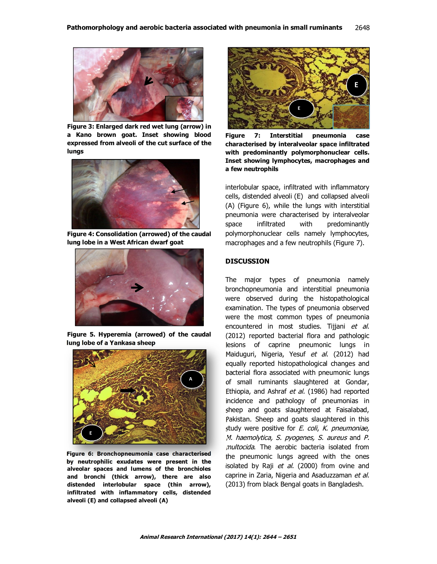

**Figure 3: Enlarged dark red wet lung (arrow) in a Kano brown goat. Inset showing blood expressed from alveoli of the cut surface of the lungs** 



**Figure 4: Consolidation (arrowed) of the caudal lung lobe in a West African dwarf goat**



**Figure 5. Hyperemia (arrowed) of the caudal lung lobe of a Yankasa sheep**



**Figure 6: Bronchopneumonia case characterised by neutrophilic exudates were present in the alveolar spaces and lumens of the bronchioles and bronchi (thick arrow), there are also distended interlobular space (thin arrow), infiltrated with inflammatory cells, distended alveoli (E) and collapsed alveoli (A)**



**Figure 7: Interstitial pneumonia case characterised by interalveolar space infiltrated with predominantly polymorphonuclear cells. Inset showing lymphocytes, macrophages and a few neutrophils**

interlobular space, infiltrated with inflammatory cells, distended alveoli (E) and collapsed alveoli (A) (Figure 6), while the lungs with interstitial pneumonia were characterised by interalveolar space infiltrated with predominantly polymorphonuclear cells namely lymphocytes, macrophages and a few neutrophils (Figure 7).

#### **DISCUSSION**

The major types of pneumonia namely bronchopneumonia and interstitial pneumonia were observed during the histopathological examination. The types of pneumonia observed were the most common types of pneumonia encountered in most studies. Tijjani et al. (2012) reported bacterial flora and pathologic lesions of caprine pneumonic lungs in Maiduguri, Nigeria, Yesuf et al. (2012) had equally reported histopathological changes and bacterial flora associated with pneumonic lungs of small ruminants slaughtered at Gondar, Ethiopia, and Ashraf et al. (1986) had reported incidence and pathology of pneumonias in sheep and goats slaughtered at Faisalabad, Pakistan. Sheep and goats slaughtered in this study were positive for E. coli, K. pneumoniae, M. haemolytica, S. pyogenes, S. aureus and P. multocida. The aerobic bacteria isolated from the pneumonic lungs agreed with the ones isolated by Raji et al. (2000) from ovine and caprine in Zaria, Nigeria and Asaduzzaman et al. (2013) from black Bengal goats in Bangladesh.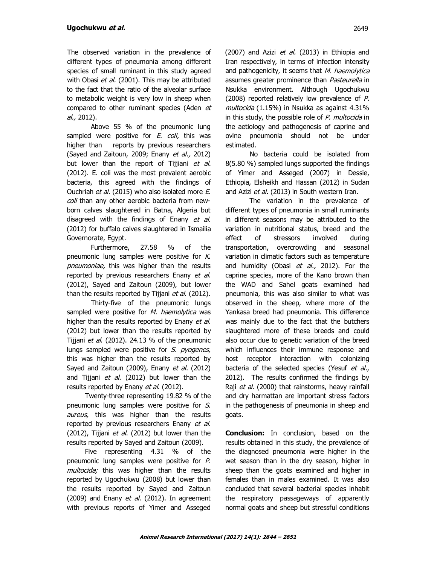The observed variation in the prevalence of different types of pneumonia among different species of small ruminant in this study agreed with Obasi et al. (2001). This may be attributed to the fact that the ratio of the alveolar surface to metabolic weight is very low in sheep when compared to other ruminant species (Aden et al., 2012).

Above 55 % of the pneumonic lung sampled were positive for  $E$ . coli, this was higher than reports by previous researchers (Sayed and Zaitoun, 2009; Enany et al., 2012) but lower than the report of Tijjiani et al. (2012). E. coli was the most prevalent aerobic bacteria, this agreed with the findings of Ouchriah et al. (2015) who also isolated more E. coli than any other aerobic bacteria from newborn calves slaughtered in Batna, Algeria but disagreed with the findings of Enany et al. (2012) for buffalo calves slaughtered in Ismailia Governorate, Egypt.

Furthermore, 27.58 % of the pneumonic lung samples were positive for K. pneumoniae, this was higher than the results reported by previous researchers Enany et al. (2012), Sayed and Zaitoun (2009), but lower than the results reported by Tijjani et al. (2012).

Thirty-five of the pneumonic lungs sampled were positive for M. haemolytica was higher than the results reported by Enany et al. (2012) but lower than the results reported by Tijjani *et al.* (2012). 24.13 % of the pneumonic lungs sampled were positive for S. pyogenes, this was higher than the results reported by Sayed and Zaitoun (2009), Enany et al. (2012) and Tijjani et al. (2012) but lower than the results reported by Enany et al. (2012).

Twenty-three representing 19.82 % of the pneumonic lung samples were positive for S. aureus, this was higher than the results reported by previous researchers Enany et al. (2012), Tijjani et al. (2012) but lower than the results reported by Sayed and Zaitoun (2009).

Five representing 4.31 % of the pneumonic lung samples were positive for P. multocida; this was higher than the results reported by Ugochukwu (2008) but lower than the results reported by Sayed and Zaitoun  $(2009)$  and Enany *et al.*  $(2012)$ . In agreement with previous reports of Yimer and Asseged  $(2007)$  and Azizi *et al.*  $(2013)$  in Ethiopia and Iran respectively, in terms of infection intensity and pathogenicity, it seems that M. haemolytica assumes greater prominence than Pasteurella in Nsukka environment. Although Ugochukwu (2008) reported relatively low prevalence of P. multocida (1.15%) in Nsukka as against 4.31% in this study, the possible role of  $P$ . multocida in the aetiology and pathogenesis of caprine and ovine pneumonia should not be under estimated.

No bacteria could be isolated from 8(5.80 %) sampled lungs supported the findings of Yimer and Asseged (2007) in Dessie, Ethiopia, Elsheikh and Hassan (2012) in Sudan and Azizi et al. (2013) in South western Iran.

The variation in the prevalence of different types of pneumonia in small ruminants in different seasons may be attributed to the variation in nutritional status, breed and the effect of stressors involved during transportation, overcrowding and seasonal variation in climatic factors such as temperature and humidity (Obasi et al., 2012). For the caprine species, more of the Kano brown than the WAD and Sahel goats examined had pneumonia, this was also similar to what was observed in the sheep, where more of the Yankasa breed had pneumonia. This difference was mainly due to the fact that the butchers slaughtered more of these breeds and could also occur due to genetic variation of the breed which influences their immune response and host receptor interaction with colonizing bacteria of the selected species (Yesuf et al., 2012). The results confirmed the findings by Raji et al. (2000) that rainstorms, heavy rainfall and dry harmattan are important stress factors in the pathogenesis of pneumonia in sheep and goats.

**Conclusion:** In conclusion, based on the results obtained in this study, the prevalence of the diagnosed pneumonia were higher in the wet season than in the dry season, higher in sheep than the goats examined and higher in females than in males examined. It was also concluded that several bacterial species inhabit the respiratory passageways of apparently normal goats and sheep but stressful conditions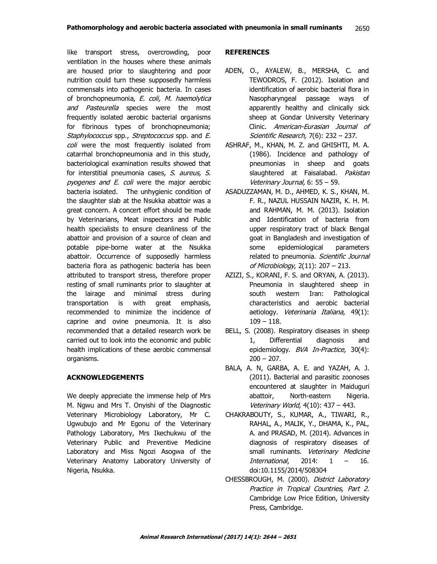like transport stress, overcrowding, poor ventilation in the houses where these animals are housed prior to slaughtering and poor nutrition could turn these supposedly harmless commensals into pathogenic bacteria. In cases of bronchopneumonia, E. coli, M. haemolytica and Pasteurella species were the most frequently isolated aerobic bacterial organisms for fibrinous types of bronchopneumonia; Staphylococcus spp., Streptococcus spp. and E. coli were the most frequently isolated from catarrhal bronchopneumonia and in this study, bacteriological examination results showed that for interstitial pneumonia cases, S. aureus, S. pyogenes and E. coli were the major aerobic bacteria isolated. The unhygienic condition of the slaughter slab at the Nsukka abattoir was a great concern. A concert effort should be made by Veterinarians, Meat inspectors and Public health specialists to ensure cleanliness of the abattoir and provision of a source of clean and potable pipe-borne water at the Nsukka abattoir. Occurrence of supposedly harmless bacteria flora as pathogenic bacteria has been attributed to transport stress, therefore proper resting of small ruminants prior to slaughter at the lairage and minimal stress during transportation is with great emphasis, recommended to minimize the incidence of caprine and ovine pneumonia. It is also recommended that a detailed research work be carried out to look into the economic and public health implications of these aerobic commensal organisms.

## **ACKNOWLEDGEMENTS**

We deeply appreciate the immense help of Mrs M. Ngwu and Mrs T. Onyishi of the Diagnostic Veterinary Microbiology Laboratory, Mr C. Ugwubujo and Mr Egonu of the Veterinary Pathology Laboratory, Mrs Ikechukwu of the Veterinary Public and Preventive Medicine Laboratory and Miss Ngozi Asogwa of the Veterinary Anatomy Laboratory University of Nigeria, Nsukka.

## **REFERENCES**

- ADEN, O., AYALEW, B., MERSHA, C. and TEWODROS, F. (2012). Isolation and identification of aerobic bacterial flora in Nasopharyngeal passage ways of apparently healthy and clinically sick sheep at Gondar University Veterinary Clinic. American-Eurasian Journal of Scientific Research, 7(6): 232 – 237.
- ASHRAF, M., KHAN, M. Z. and GHISHTI, M. A. (1986). Incidence and pathology of pneumonias in sheep and goats slaughtered at Faisalabad. Pakistan Veterinary Journal, 6: 55 – 59.
- ASADUZZAMAN, M. D., AHMED, K. S., KHAN, M. F. R., NAZUL HUSSAIN NAZIR, K. H. M. and RAHMAN, M. M. (2013). Isolation and Identification of bacteria from upper respiratory tract of black Bengal goat in Bangladesh and investigation of some epidemiological parameters related to pneumonia. Scientific Journal of Microbiology, 2(11): 207 – 213.
- AZIZI, S., KORANI, F. S. and ORYAN, A. (2013). Pneumonia in slaughtered sheep in south western Iran: Pathological characteristics and aerobic bacterial aetiology. Veterinaria Italiana, 49(1): 109 – 118.
- BELL, S. (2008). Respiratory diseases in sheep 1, Differential diagnosis and epidemiology. BVA In-Practice, 30(4):  $200 - 207$ .
- BALA, A. N, GARBA, A. E. and YAZAH, A. J. (2011). Bacterial and parasitic zoonoses encountered at slaughter in Maiduguri abattoir, North-eastern Nigeria. Veterinary World, 4(10): 437 – 443.
- CHAKRABOUTY, S., KUMAR, A., TIWARI, R., RAHAL, A., MALIK, Y., DHAMA, K., PAL, A. and PRASAD, M. (2014). Advances in diagnosis of respiratory diseases of small ruminants. Veterinary Medicine International, 2014: 1 – 16. doi:10.1155/2014/508304
- CHESSBROUGH, M. (2000). District Laboratory Practice in Tropical Countries, Part 2. Cambridge Low Price Edition, University Press, Cambridge.